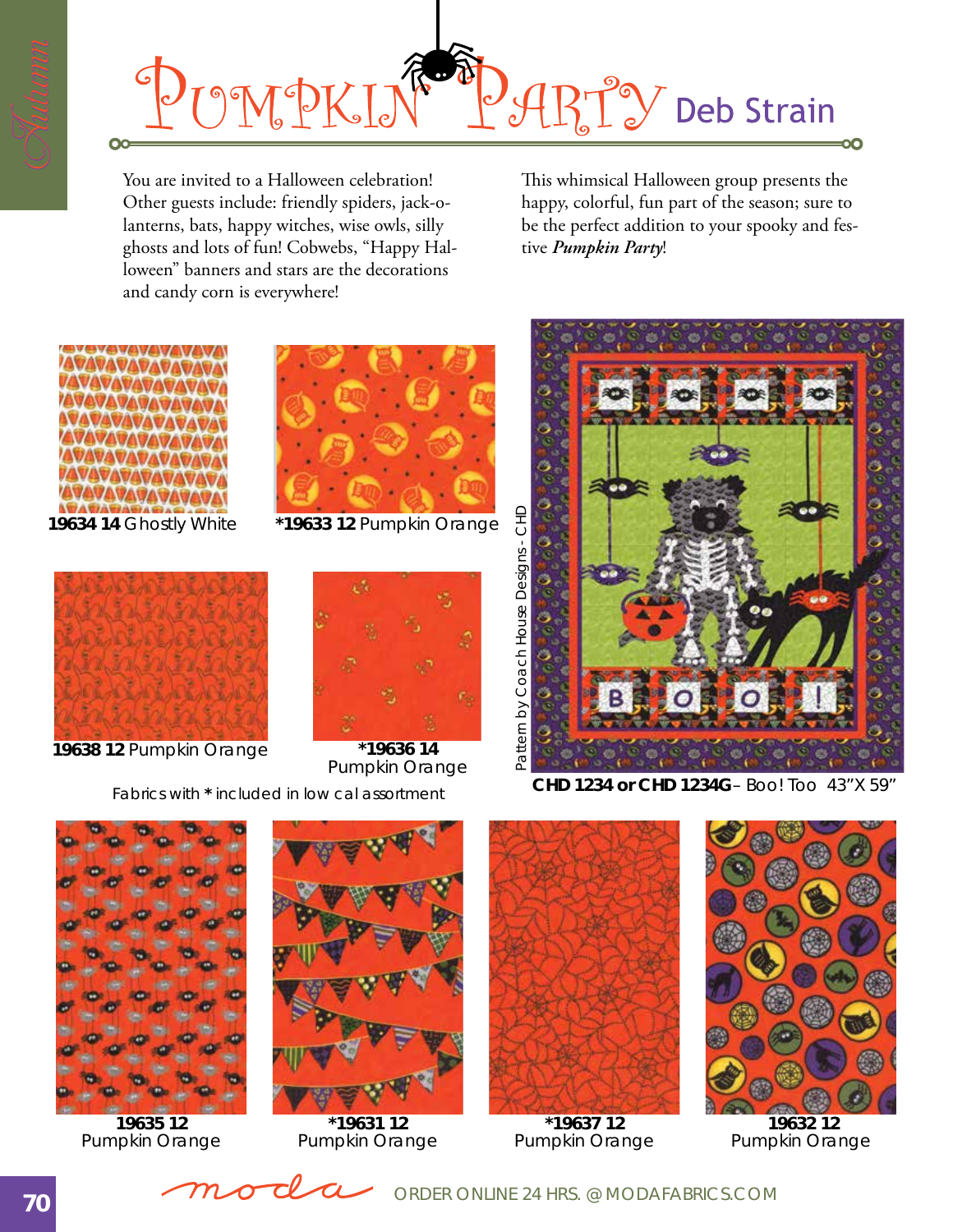

You are invited to a Halloween celebration! Other guests include: friendly spiders, jack-olanterns, bats, happy witches, wise owls, silly ghosts and lots of fun! Cobwebs, "Happy Halloween" banners and stars are the decorations and candy corn is everywhere!

This whimsical Halloween group presents the happy, colorful, fun part of the season; sure to be the perfect addition to your spooky and festive *Pumpkin Party*!





**19634 14** Ghostly White **\*19633 12** Pumpkin Orange



**19638 12** Pumpkin Orange **\*19636 14**



Pumpkin Orange





**19635 12** Pumpkin Orange



**\*19631 12** Pumpkin Orange



Coach

House

Designs - CHD

 $C + D$ 

**\*19637 12** Pumpkin Orange



 **19632 12** Pumpkin Orange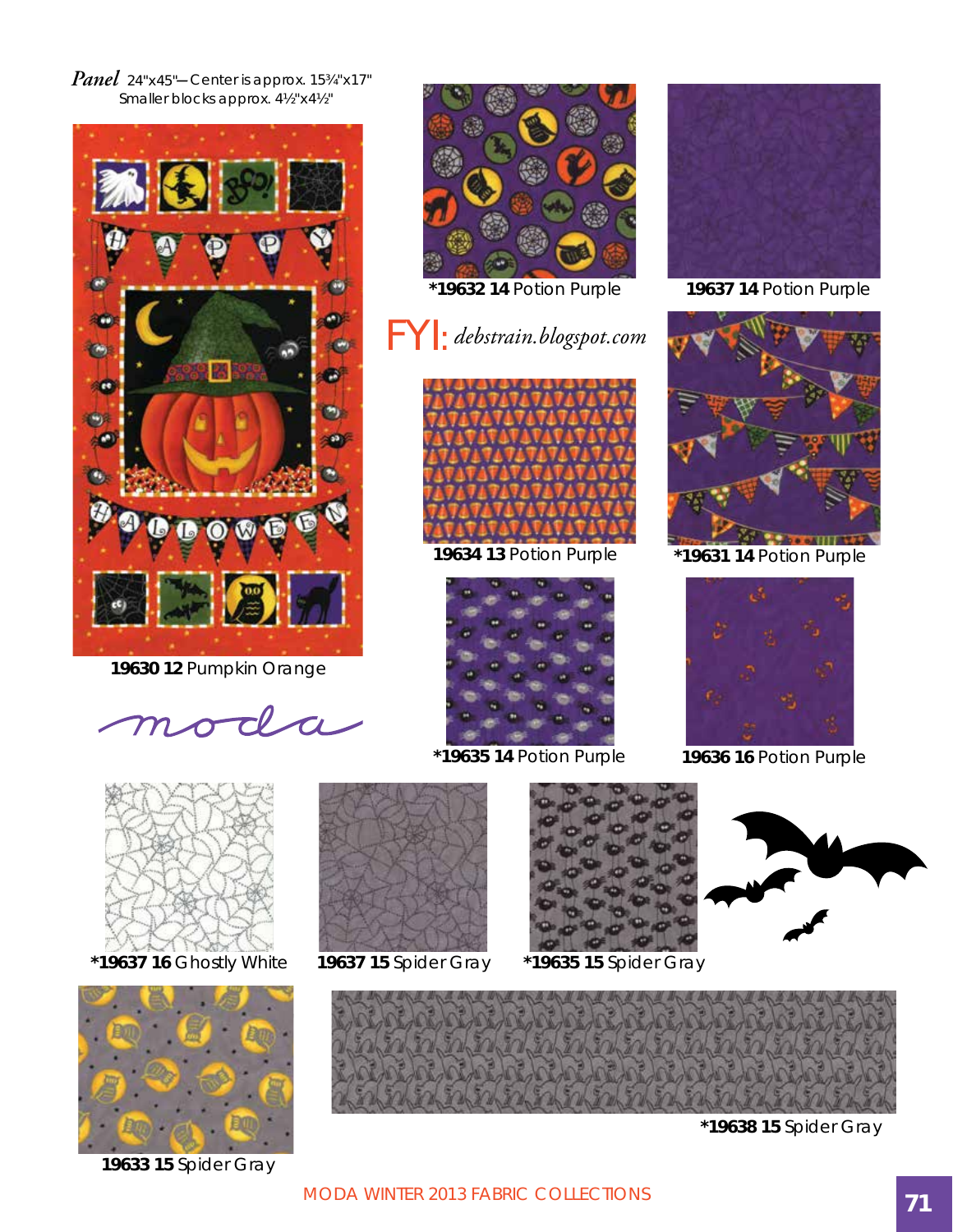*Panel* 24"x45"*–* Center is approx. 15¾"x17" Smaller blocks approx. 4½"x4½"



**19630 12** Pumpkin Orange

moda

 **\*19637 16** Ghostly White



**19633 15** Spider Gray



**\*19632 14** Potion Purple

## FYI: *debstrain.blogspot.com*



**19634 13** Potion Purple



**\*19635 14** Potion Purple **19636 16** Potion Purple



**19637 14** Potion Purple



**\*19631 14** Potion Purple





**\*19638 15** Spider Gray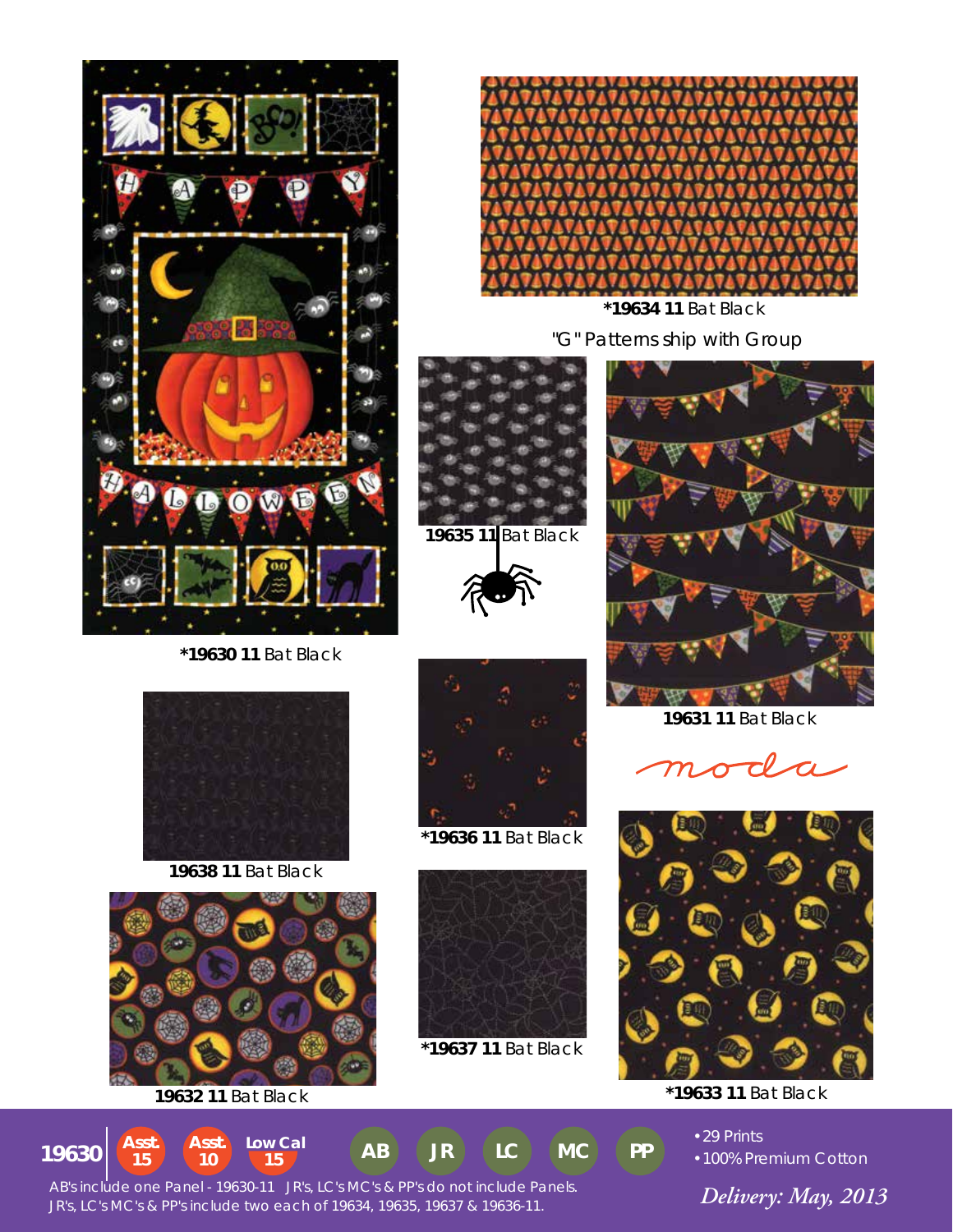

 **\*19630 11** Bat Black



**19638 11** Bat Black



**19632 11** Bat Black







**\*19636 11** Bat Black



**\*19637 11** Bat Black



 "G" Patterns ship with Group  **\*19634 11** Bat Black



**19631 11** Bat Black





**\*19633 11** Bat Black



•29 Prints •100% Premium Cotton

 *Delivery: May, 2013* JR's, LC's MC's & PP's include two each of 19634, 19635, 19637 & 19636-11. AB's include one Panel - 19630-11 JR's, LC's MC's & PP's do not include Panels.